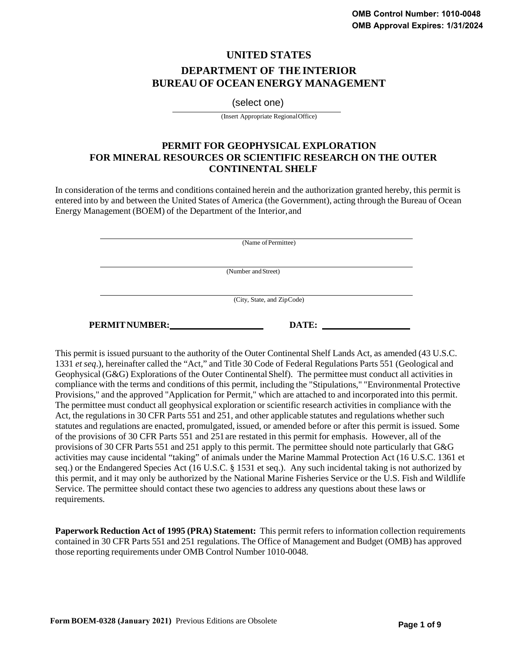# **UNITED STATES DEPARTMENT OF THE INTERIOR BUREAU OF OCEAN ENERGY MANAGEMENT**

(select one)

(Insert Appropriate RegionalOffice)

## **PERMIT FOR GEOPHYSICAL EXPLORATION FOR MINERAL RESOURCES OR SCIENTIFIC RESEARCH ON THE OUTER CONTINENTAL SHELF**

In consideration of the terms and conditions contained herein and the authorization granted hereby, this permit is entered into by and between the United States of America (the Government), acting through the Bureau of Ocean Energy Management (BOEM) of the Department of the Interior, and

| (Name of Permittee)        |
|----------------------------|
|                            |
|                            |
|                            |
| (Number and Street)        |
|                            |
|                            |
|                            |
| (City, State, and ZipCode) |
|                            |
|                            |

**PERMITNUMBER: DATE:** 

This permit is issued pursuant to the authority of the Outer Continental Shelf Lands Act, as amended (43 U.S.C. 1331 *et seq*.), hereinafter called the "Act," and Title 30 Code of Federal Regulations Parts 551 (Geological and Geophysical (G&G) Explorations of the Outer Continental Shelf). The permittee must conduct all activities in compliance with the terms and conditions of this permit, including the "Stipulations," "Environmental Protective Provisions," and the approved "Application for Permit," which are attached to and incorporated into this permit. The permittee must conduct all geophysical exploration or scientific research activities in compliance with the Act, the regulations in 30 CFR Parts 551 and 251, and other applicable statutes and regulations whether such statutes and regulations are enacted, promulgated, issued, or amended before or after this permit is issued. Some of the provisions of 30 CFR Parts 551 and 251 are restated in this permit for emphasis. However, all of the provisions of 30 CFR Parts 551 and 251 apply to this permit. The permittee should note particularly that G&G activities may cause incidental "taking" of animals under the Marine Mammal Protection Act (16 U.S.C. 1361 et seq.) or the Endangered Species Act (16 U.S.C. § 1531 et seq.). Any such incidental taking is not authorized by this permit, and it may only be authorized by the National Marine Fisheries Service or the U.S. Fish and Wildlife Service. The permittee should contact these two agencies to address any questions about these laws or requirements.

**Paperwork Reduction Act of 1995 (PRA) Statement:** This permit refers to information collection requirements contained in 30 CFR Parts 551 and 251 regulations. The Office of Management and Budget (OMB) has approved those reporting requirements under OMB Control Number 1010-0048.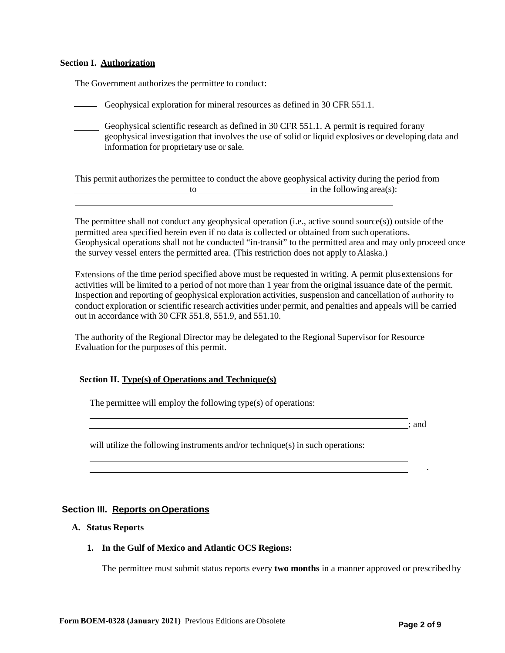#### **Section I. Authorization**

The Government authorizes the permittee to conduct:

Geophysical exploration for mineral resources as defined in 30 CFR 551.1.

Geophysical scientific research as defined in 30 CFR 551.1. A permit is required for any geophysical investigation that involves the use of solid or liquid explosives or developing data and information for proprietary use or sale.

This permit authorizes the permittee to conduct the above geophysical activity during the period from to in the following area(s):

The permittee shall not conduct any geophysical operation (i.e., active sound source(s)) outside of the permitted area specified herein even if no data is collected or obtained from such operations. Geophysical operations shall not be conducted "in-transit" to the permitted area and may only proceed once the survey vessel enters the permitted area. (This restriction does not apply to Alaska.)

Extensions of the time period specified above must be requested in writing. A permit plus extensions for activities will be limited to a period of not more than 1 year from the original issuance date of the permit. Inspection and reporting of geophysical exploration activities, suspension and cancellation of authority to conduct exploration or scientific research activities under permit, and penalties and appeals will be carried out in accordance with 30 CFR 551.8, 551.9, and 551.10.

The authority of the Regional Director may be delegated to the Regional Supervisor for Resource Evaluation for the purposes of this permit.

#### **Section II. Type(s) of Operations and Technique(s)**

The permittee will employ the following type(s) of operations:

; and

.

will utilize the following instruments and/or technique(s) in such operations:

## **Section III. Reports on Operations**

#### **A. Status Reports**

#### **1. In the Gulf of Mexico and Atlantic OCS Regions:**

The permittee must submit status reports every **two months** in a manner approved or prescribed by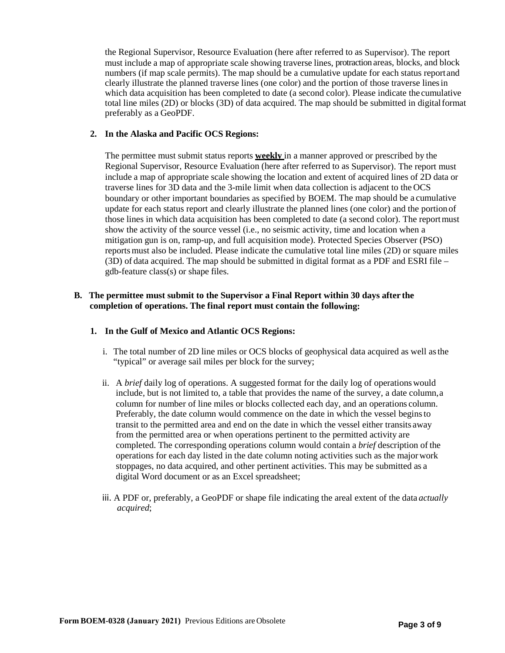the Regional Supervisor, Resource Evaluation (here after referred to as Supervisor). The report must include a map of appropriate scale showing traverse lines, protraction areas, blocks, and block numbers (if map scale permits). The map should be a cumulative update for each status report and clearly illustrate the planned traverse lines (one color) and the portion of those traverse linesin which data acquisition has been completed to date (a second color). Please indicate the cumulative total line miles (2D) or blocks (3D) of data acquired. The map should be submitted in digital format preferably as a GeoPDF.

### **2. In the Alaska and Pacific OCS Regions:**

The permittee must submit status reports **weekly** in a manner approved or prescribed by the Regional Supervisor, Resource Evaluation (here after referred to as Supervisor). The report must include a map of appropriate scale showing the location and extent of acquired lines of 2D data or traverse lines for 3D data and the 3-mile limit when data collection is adjacent to the OCS boundary or other important boundaries as specified by BOEM. The map should be a cumulative update for each status report and clearly illustrate the planned lines (one color) and the portion of those lines in which data acquisition has been completed to date (a second color). The report must show the activity of the source vessel (i.e., no seismic activity, time and location when a mitigation gun is on, ramp-up, and full acquisition mode). Protected Species Observer (PSO) reportsmust also be included. Please indicate the cumulative total line miles (2D) or square miles (3D) of data acquired. The map should be submitted in digital format as a PDF and ESRI file – gdb-feature class(s) or shape files.

## **B. The permittee must submit to the Supervisor a Final Report within 30 days after the completion of operations. The final report must contain the following:**

#### **1. In the Gulf of Mexico and Atlantic OCS Regions:**

- i. The total number of 2D line miles or OCS blocks of geophysical data acquired as well as the "typical" or average sail miles per block for the survey;
- ii. A *brief* daily log of operations. A suggested format for the daily log of operations would include, but is not limited to, a table that provides the name of the survey, a date column, a column for number of line miles or blocks collected each day, and an operations column. Preferably, the date column would commence on the date in which the vessel begins to transit to the permitted area and end on the date in which the vessel either transits away from the permitted area or when operations pertinent to the permitted activity are completed. The corresponding operations column would contain a *brief* description of the operations for each day listed in the date column noting activities such as the majorwork stoppages, no data acquired, and other pertinent activities. This may be submitted as a digital Word document or as an Excel spreadsheet;
- iii. A PDF or, preferably, a GeoPDF or shape file indicating the areal extent of the data *actually acquired*;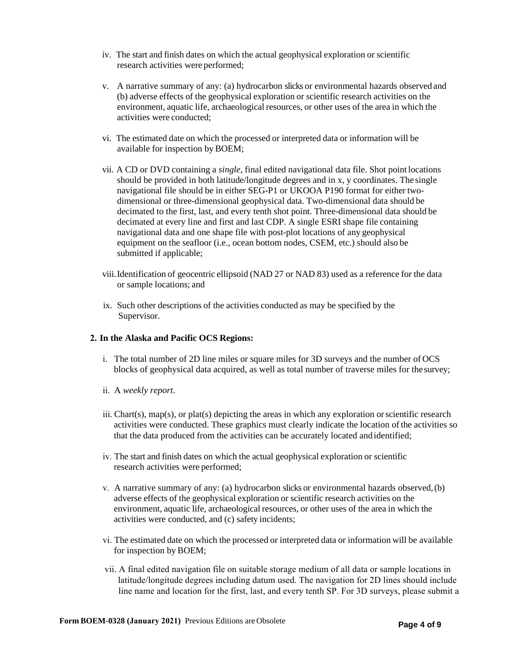- iv. The start and finish dates on which the actual geophysical exploration or scientific research activities were performed;
- v. A narrative summary of any: (a) hydrocarbon slicks or environmental hazards observed and (b) adverse effects of the geophysical exploration or scientific research activities on the environment, aquatic life, archaeological resources, or other uses of the area in which the activities were conducted;
- vi. The estimated date on which the processed or interpreted data or information will be available for inspection by BOEM;
- vii. A CD or DVD containing a *single*, final edited navigational data file. Shot point locations should be provided in both latitude/longitude degrees and in x, y coordinates. The single navigational file should be in either SEG-P1 or UKOOA P190 format for either twodimensional or three-dimensional geophysical data. Two-dimensional data should be decimated to the first, last, and every tenth shot point. Three-dimensional data should be decimated at every line and first and last CDP. A single ESRI shape file containing navigational data and one shape file with post-plot locations of any geophysical equipment on the seafloor (i.e., ocean bottom nodes, CSEM, etc.) should also be submitted if applicable;
- viii.Identification of geocentric ellipsoid (NAD 27 or NAD 83) used as a reference for the data or sample locations; and
- ix. Such other descriptions of the activities conducted as may be specified by the Supervisor.

#### **2. In the Alaska and Pacific OCS Regions:**

- i. The total number of 2D line miles or square miles for 3D surveys and the number of OCS blocks of geophysical data acquired, as well as total number of traverse miles for the survey;
- ii. A *weekly report*.
- iii. Chart(s), map(s), or plat(s) depicting the areas in which any exploration or scientific research activities were conducted. These graphics must clearly indicate the location of the activities so that the data produced from the activities can be accurately located and identified;
- iv. The start and finish dates on which the actual geophysical exploration or scientific research activities were performed;
- v. A narrative summary of any: (a) hydrocarbon slicks or environmental hazards observed, (b) adverse effects of the geophysical exploration or scientific research activities on the environment, aquatic life, archaeological resources, or other uses of the area in which the activities were conducted, and (c) safety incidents;
- vi. The estimated date on which the processed or interpreted data or information will be available for inspection by BOEM;
- vii. A final edited navigation file on suitable storage medium of all data or sample locations in latitude/longitude degrees including datum used. The navigation for 2D lines should include line name and location for the first, last, and every tenth SP. For 3D surveys, please submit a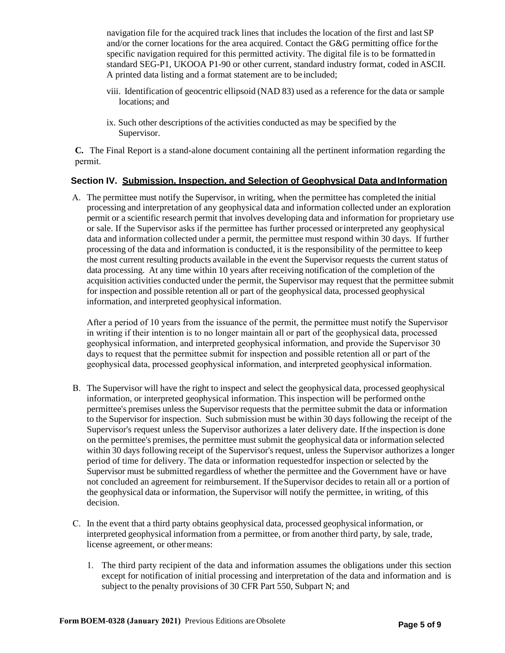navigation file for the acquired track lines that includes the location of the first and last SP and/or the corner locations for the area acquired. Contact the G&G permitting office for the specific navigation required for this permitted activity. The digital file is to be formatted in standard SEG-P1, UKOOA P1-90 or other current, standard industry format, coded in ASCII. A printed data listing and a format statement are to be included;

- viii. Identification of geocentric ellipsoid (NAD 83) used as a reference for the data or sample locations; and
- ix. Such other descriptions of the activities conducted as may be specified by the Supervisor.

**C.** The Final Report is a stand-alone document containing all the pertinent information regarding the permit.

## **Section IV. Submission, Inspection, and Selection of Geophysical Data andInformation**

A. The permittee must notify the Supervisor, in writing, when the permittee has completed the initial processing and interpretation of any geophysical data and information collected under an exploration permit or a scientific research permit that involves developing data and information for proprietary use or sale. If the Supervisor asks if the permittee has further processed orinterpreted any geophysical data and information collected under a permit, the permittee must respond within 30 days. If further processing of the data and information is conducted, it is the responsibility of the permittee to keep the most current resulting products available in the event the Supervisor requests the current status of data processing. At any time within 10 years after receiving notification of the completion of the acquisition activities conducted under the permit, the Supervisor may request that the permittee submit for inspection and possible retention all or part of the geophysical data, processed geophysical information, and interpreted geophysical information.

After a period of 10 years from the issuance of the permit, the permittee must notify the Supervisor in writing if their intention is to no longer maintain all or part of the geophysical data, processed geophysical information, and interpreted geophysical information, and provide the Supervisor 30 days to request that the permittee submit for inspection and possible retention all or part of the geophysical data, processed geophysical information, and interpreted geophysical information.

- B. The Supervisor will have the right to inspect and select the geophysical data, processed geophysical information, or interpreted geophysical information. This inspection will be performed on the permittee's premises unless the Supervisor requests that the permittee submit the data or information to the Supervisor for inspection. Such submission must be within 30 days following the receipt of the Supervisor's request unless the Supervisor authorizes a later delivery date. Ifthe inspection is done on the permittee's premises, the permittee must submit the geophysical data or information selected within 30 days following receipt of the Supervisor's request, unless the Supervisor authorizes a longer period of time for delivery. The data or information requestedfor inspection or selected by the Supervisor must be submitted regardless of whether the permittee and the Government have or have not concluded an agreement for reimbursement. If the Supervisor decides to retain all or a portion of the geophysical data or information, the Supervisor will notify the permittee, in writing, of this decision.
- C. In the event that a third party obtains geophysical data, processed geophysical information, or interpreted geophysical information from a permittee, or from another third party, by sale, trade, license agreement, or othermeans:
	- 1. The third party recipient of the data and information assumes the obligations under this section except for notification of initial processing and interpretation of the data and information and is subject to the penalty provisions of 30 CFR Part 550, Subpart N; and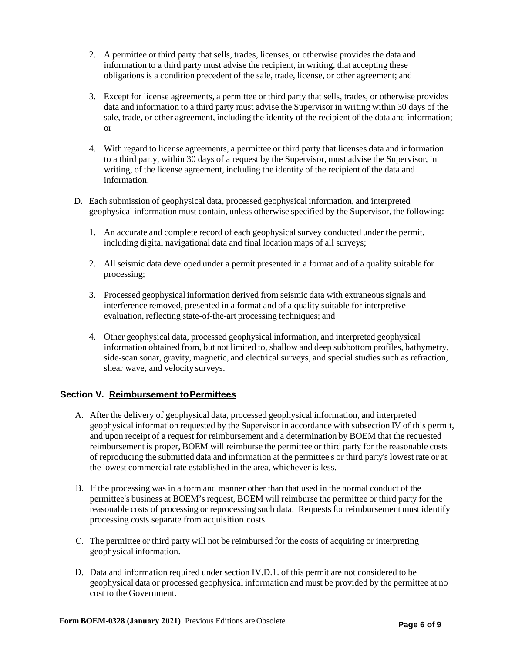- 2. A permittee or third party that sells, trades, licenses, or otherwise provides the data and information to a third party must advise the recipient, in writing, that accepting these obligations is a condition precedent of the sale, trade, license, or other agreement; and
- 3. Except for license agreements, a permittee or third party that sells, trades, or otherwise provides data and information to a third party must advise the Supervisor in writing within 30 days of the sale, trade, or other agreement, including the identity of the recipient of the data and information; or
- 4. With regard to license agreements, a permittee or third party that licenses data and information to a third party, within 30 days of a request by the Supervisor, must advise the Supervisor, in writing, of the license agreement, including the identity of the recipient of the data and information.
- D. Each submission of geophysical data, processed geophysical information, and interpreted geophysical information must contain, unless otherwise specified by the Supervisor, the following:
	- 1. An accurate and complete record of each geophysicalsurvey conducted under the permit, including digital navigational data and final location maps of all surveys;
	- 2. All seismic data developed under a permit presented in a format and of a quality suitable for processing;
	- 3. Processed geophysical information derived from seismic data with extraneous signals and interference removed, presented in a format and of a quality suitable for interpretive evaluation, reflecting state-of-the-art processing techniques; and
	- 4. Other geophysical data, processed geophysical information, and interpreted geophysical information obtained from, but not limited to, shallow and deep subbottom profiles, bathymetry, side-scan sonar, gravity, magnetic, and electrical surveys, and special studies such as refraction, shear wave, and velocity surveys.

## **Section V. Reimbursement to Permittees**

- A. After the delivery of geophysical data, processed geophysical information, and interpreted geophysical information requested by the Supervisor in accordance with subsection IV of this permit, and upon receipt of a request for reimbursement and a determination by BOEM that the requested reimbursement is proper, BOEM will reimburse the permittee or third party for the reasonable costs of reproducing the submitted data and information at the permittee's or third party's lowest rate or at the lowest commercial rate established in the area, whichever is less.
- B. If the processing was in a form and manner other than that used in the normal conduct of the permittee's business at BOEM's request, BOEM will reimburse the permittee or third party for the reasonable costs of processing or reprocessing such data. Requests for reimbursement must identify processing costs separate from acquisition costs.
- C. The permittee or third party will not be reimbursed for the costs of acquiring or interpreting geophysical information.
- D. Data and information required under section IV.D.1. of this permit are not considered to be geophysical data or processed geophysical information and must be provided by the permittee at no cost to the Government.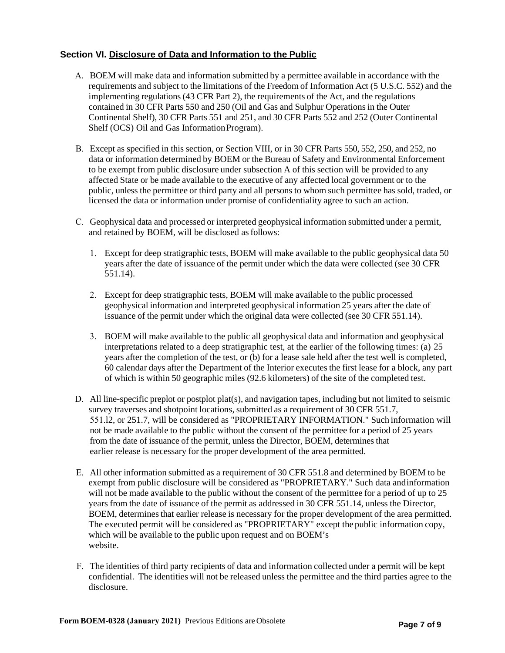## **Section VI. Disclosure of Data and Information to the Public**

- A. BOEM will make data and information submitted by a permittee available in accordance with the requirements and subject to the limitations of the Freedom of Information Act (5 U.S.C. 552) and the implementing regulations (43 CFR Part 2), the requirements of the Act, and the regulations contained in 30 CFR Parts 550 and 250 (Oil and Gas and Sulphur Operations in the Outer Continental Shelf), 30 CFR Parts 551 and 251, and 30 CFR Parts 552 and 252 (Outer Continental Shelf (OCS) Oil and Gas Information Program).
- B. Except as specified in this section, or Section VIII, or in 30 CFR Parts 550, 552, 250, and 252, no data or information determined by BOEM or the Bureau of Safety and Environmental Enforcement to be exempt from public disclosure under subsection A of this section will be provided to any affected State or be made available to the executive of any affected local government or to the public, unless the permittee or third party and all persons to whom such permittee has sold, traded, or licensed the data or information under promise of confidentiality agree to such an action.
- C. Geophysical data and processed or interpreted geophysical information submitted under a permit, and retained by BOEM, will be disclosed as follows:
	- 1. Except for deep stratigraphic tests, BOEM will make available to the public geophysical data 50 years after the date of issuance of the permit under which the data were collected (see 30 CFR 551.14).
	- 2. Except for deep stratigraphic tests, BOEM will make available to the public processed geophysical information and interpreted geophysical information 25 years after the date of issuance of the permit under which the original data were collected (see 30 CFR 551.14).
	- 3. BOEM will make available to the public all geophysical data and information and geophysical interpretations related to a deep stratigraphic test, at the earlier of the following times: (a) 25 years after the completion of the test, or (b) for a lease sale held after the test well is completed, 60 calendar days after the Department of the Interior executes the first lease for a block, any part of which is within 50 geographic miles (92.6 kilometers) of the site of the completed test.
- D. All line-specific preplot or postplot plat(s), and navigation tapes, including but not limited to seismic survey traverses and shotpoint locations, submitted as a requirement of 30 CFR 551.7, 551.l2, or 251.7, will be considered as "PROPRIETARY INFORMATION." Such information will not be made available to the public without the consent of the permittee for a period of 25 years from the date of issuance of the permit, unless the Director, BOEM, determines that earlier release is necessary for the proper development of the area permitted.
- E. All other information submitted as a requirement of 30 CFR 551.8 and determined by BOEM to be exempt from public disclosure will be considered as "PROPRIETARY." Such data and information will not be made available to the public without the consent of the permittee for a period of up to 25 years from the date of issuance of the permit as addressed in 30 CFR 551.14, unless the Director, BOEM, determines that earlier release is necessary for the proper development of the area permitted. The executed permit will be considered as "PROPRIETARY" except the public information copy, which will be available to the public upon request and on BOEM's website.
- F. The identities of third party recipients of data and information collected under a permit will be kept confidential. The identities will not be released unless the permittee and the third parties agree to the disclosure.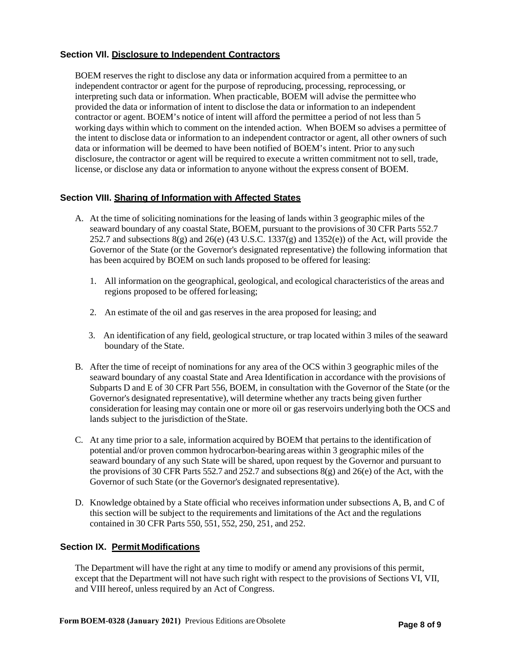## **Section VIl. Disclosure to Independent Contractors**

BOEM reserves the right to disclose any data or information acquired from a permittee to an independent contractor or agent for the purpose of reproducing, processing, reprocessing, or interpreting such data or information. When practicable, BOEM will advise the permitteewho provided the data or information of intent to disclose the data or information to an independent contractor or agent. BOEM's notice of intent will afford the permittee a period of not less than 5 working days within which to comment on the intended action. When BOEM so advises a permittee of the intent to disclose data or information to an independent contractor or agent, all other owners of such data or information will be deemed to have been notified of BOEM's intent. Prior to any such disclosure, the contractor or agent will be required to execute a written commitment not to sell, trade, license, or disclose any data or information to anyone without the express consent of BOEM.

## **Section VIII. Sharing of Information with Affected States**

- A. At the time of soliciting nominations for the leasing of lands within 3 geographic miles of the seaward boundary of any coastal State, BOEM, pursuant to the provisions of 30 CFR Parts 552.7 252.7 and subsections 8(g) and 26(e) (43 U.S.C. 1337(g) and 1352(e)) of the Act, will provide the Governor of the State (or the Governor's designated representative) the following information that has been acquired by BOEM on such lands proposed to be offered for leasing:
	- 1. All information on the geographical, geological, and ecological characteristics of the areas and regions proposed to be offered for leasing;
	- 2. An estimate of the oil and gas reserves in the area proposed for leasing; and
	- 3. An identification of any field, geological structure, or trap located within 3 miles of the seaward boundary of the State.
- B. After the time of receipt of nominations for any area of the OCS within 3 geographic miles of the seaward boundary of any coastal State and Area Identification in accordance with the provisions of Subparts D and E of 30 CFR Part 556, BOEM, in consultation with the Governor of the State (or the Governor's designated representative), will determine whether any tracts being given further consideration for leasing may contain one or more oil or gas reservoirs underlying both the OCS and lands subject to the jurisdiction of theState.
- C. At any time prior to a sale, information acquired by BOEM that pertains to the identification of potential and/or proven common hydrocarbon-bearing areas within 3 geographic miles of the seaward boundary of any such State will be shared, upon request by the Governor and pursuant to the provisions of 30 CFR Parts 552.7 and 252.7 and subsections 8(g) and 26(e) of the Act, with the Governor of such State (or the Governor's designated representative).
- D. Knowledge obtained by a State official who receives information under subsections A, B, and C of this section will be subject to the requirements and limitations of the Act and the regulations contained in 30 CFR Parts 550, 551, 552, 250, 251, and 252.

## **Section IX. Permit Modifications**

The Department will have the right at any time to modify or amend any provisions of this permit, except that the Department will not have such right with respect to the provisions of Sections VI, VII, and VIII hereof, unless required by an Act of Congress.